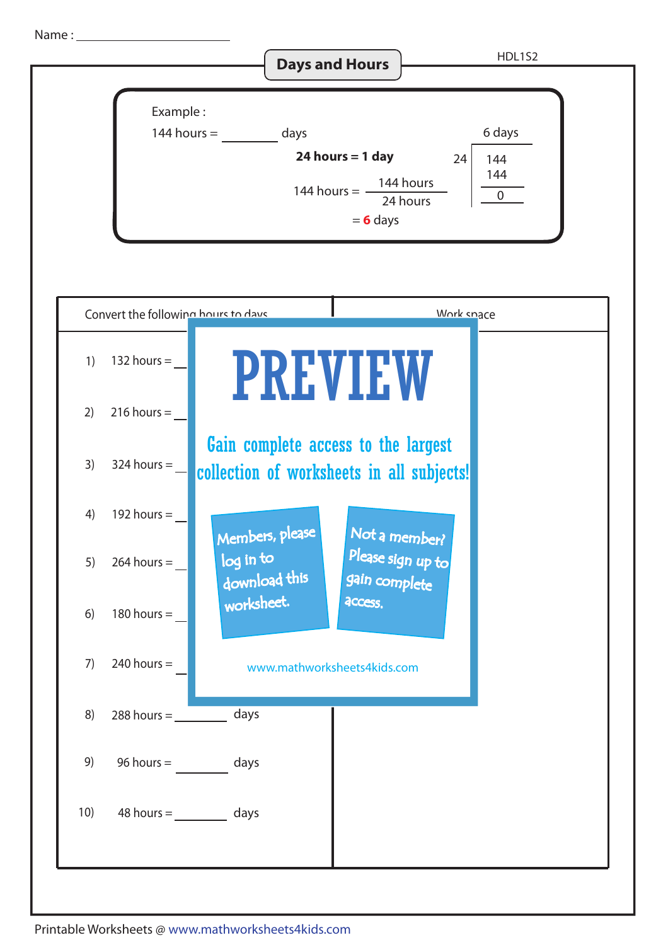Name :